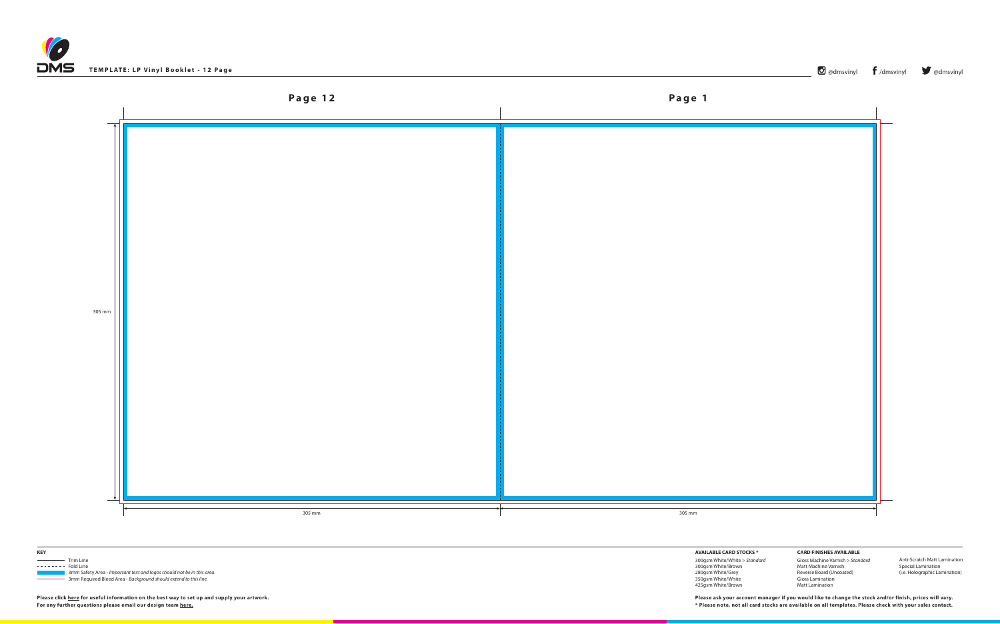





 3mm Safety Area - *Important text and logos should not be in this area*. 3mm Required Bleed Area - *Background should extend to this line.*

**AVAILABLE CARD STOCKS \***

300gsm White/White *> Standard* 300gsm White/Brown 280gsm White/Grey 350gsm White/White 425gsm White/Brown

**CARD FINISHES AVAILABLE** Gloss Machine Varnish *> Standard* Matt Machine Varnish Reverse Board (Uncoated) Gloss Lamination Matt Lamination

Anti-Scratch Matt Lamination Special Lamination (i.e. Holographic Lamination)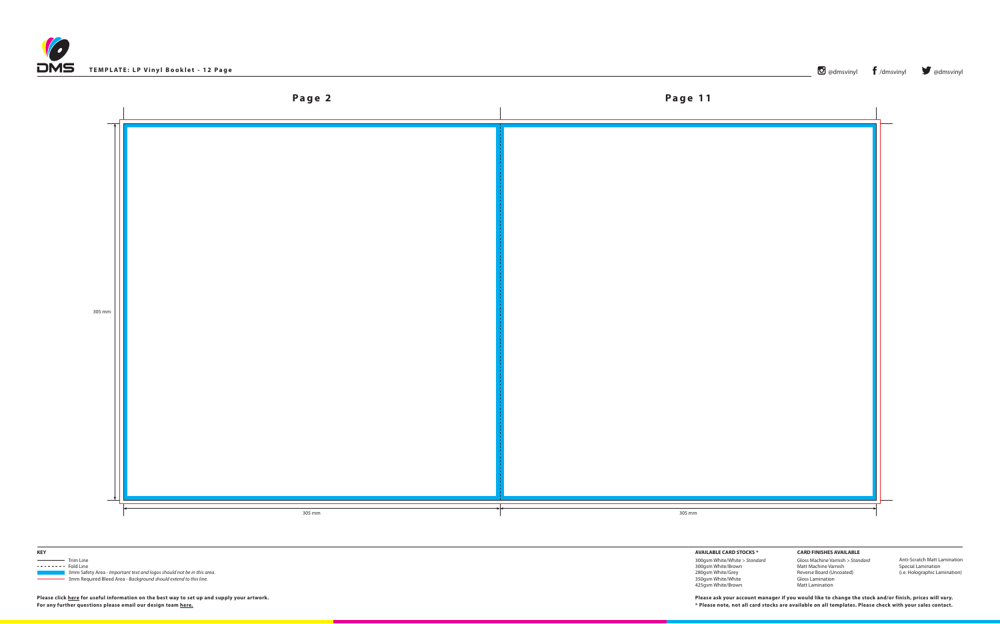





 3mm Safety Area - *Important text and logos should not be in this area*. 3mm Required Bleed Area - *Background should extend to this line.*

**AVAILABLE CARD STOCKS \***

300gsm White/White *> Standard* 300gsm White/Brown 280gsm White/Grey 350gsm White/White 425gsm White/Brown

**CARD FINISHES AVAILABLE** Gloss Machine Varnish *> Standard* Matt Machine Varnish Reverse Board (Uncoated) Gloss Lamination Matt Lamination

Anti-Scratch Matt Lamination Special Lamination (i.e. Holographic Lamination)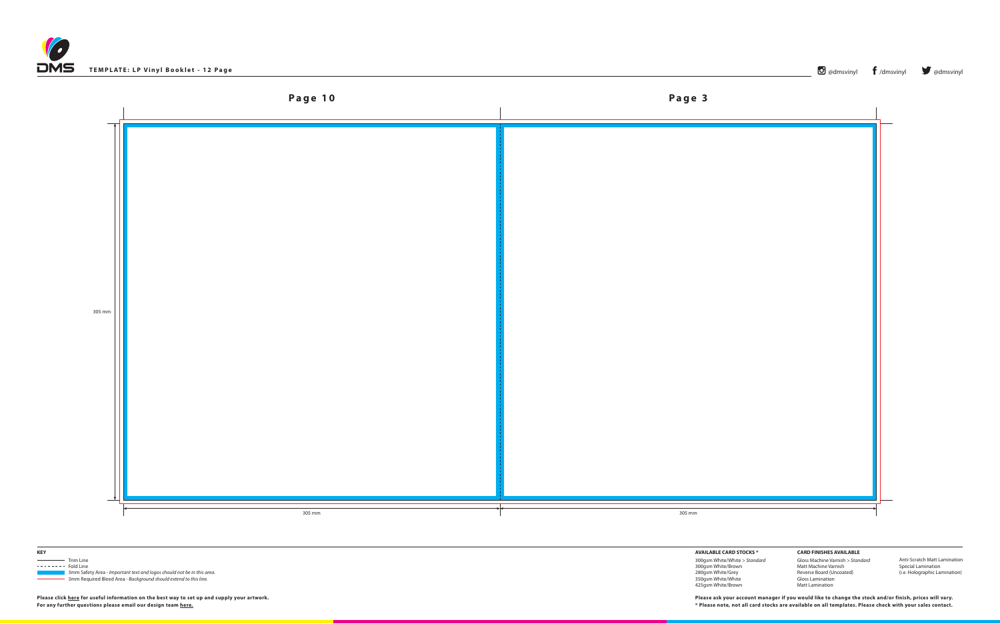





 3mm Safety Area - *Important text and logos should not be in this area*. 3mm Required Bleed Area - *Background should extend to this line.*

**AVAILABLE CARD STOCKS \***

300gsm White/White *> Standard* 300gsm White/Brown 280gsm White/Grey 350gsm White/White 425gsm White/Brown

**CARD FINISHES AVAILABLE** Gloss Machine Varnish *> Standard* Matt Machine Varnish Reverse Board (Uncoated) Gloss Lamination Matt Lamination

Anti-Scratch Matt Lamination Special Lamination (i.e. Holographic Lamination)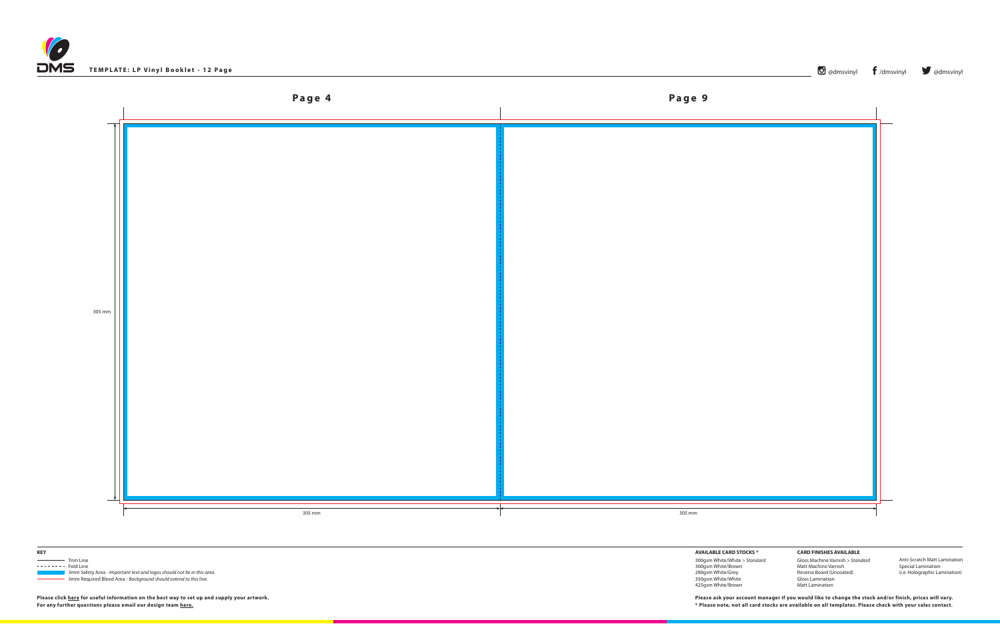





 3mm Safety Area - *Important text and logos should not be in this area*. 3mm Required Bleed Area - *Background should extend to this line.*

## **AVAILABLE CARD STOCKS \***

300gsm White/White *> Standard* 300gsm White/Brown 280gsm White/Grey 350gsm White/White 425gsm White/Brown

**CARD FINISHES AVAILABLE** Gloss Machine Varnish *> Standard* Matt Machine Varnish Reverse Board (Uncoated) Gloss Lamination Matt Lamination

Anti-Scratch Matt Lamination Special Lamination (i.e. Holographic Lamination)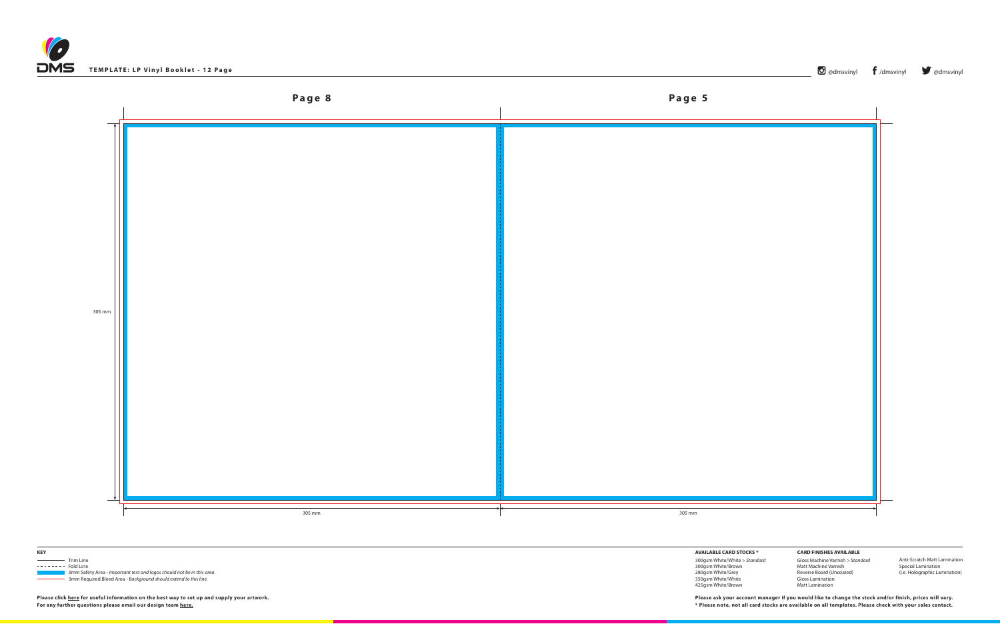





 3mm Safety Area - *Important text and logos should not be in this area*. 3mm Required Bleed Area - *Background should extend to this line.*

**AVAILABLE CARD STOCKS \***

300gsm White/White *> Standard* 300gsm White/Brown 280gsm White/Grey 350gsm White/White 425gsm White/Brown

**CARD FINISHES AVAILABLE** Gloss Machine Varnish *> Standard* Matt Machine Varnish Reverse Board (Uncoated) Gloss Lamination Matt Lamination

Anti-Scratch Matt Lamination Special Lamination (i.e. Holographic Lamination)